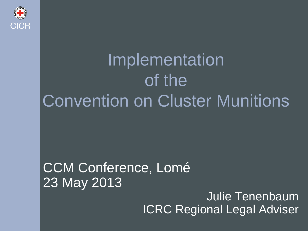

# Implementation of the Convention on Cluster Munitions

### CCM Conference, Lomé 23 May 2013

Julie Tenenbaum ICRC Regional Legal Adviser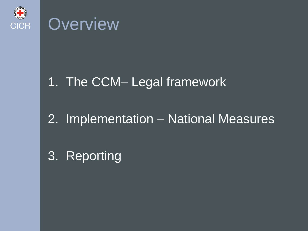

## **Overview**

### 1. The CCM– Legal framework

### 2. Implementation – National Measures

## 3. Reporting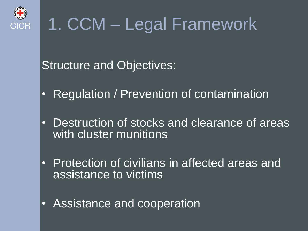

# 1. CCM – Legal Framework

#### Structure and Objectives:

- Regulation / Prevention of contamination
- Destruction of stocks and clearance of areas with cluster munitions
- Protection of civilians in affected areas and assistance to victims
- Assistance and cooperation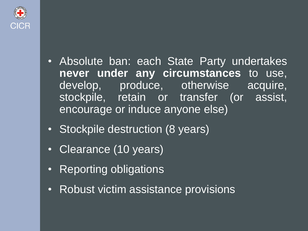

- Absolute ban: each State Party undertakes **never under any circumstances** to use, develop, produce, otherwise acquire, stockpile, retain or transfer (or assist, encourage or induce anyone else)
- Stockpile destruction (8 years)
- Clearance (10 years)
- Reporting obligations
- Robust victim assistance provisions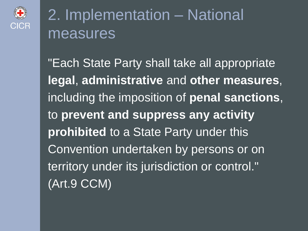

## 2. Implementation – National measures

"Each State Party shall take all appropriate **legal**, **administrative** and **other measures**, including the imposition of **penal sanctions**, to **prevent and suppress any activity prohibited** to a State Party under this Convention undertaken by persons or on territory under its jurisdiction or control." (Art.9 CCM)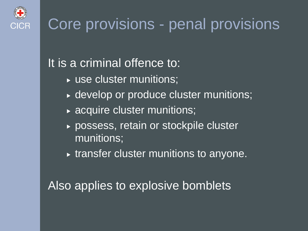

## Core provisions - penal provisions

#### It is a criminal offence to:

- ► use cluster munitions;
- ▶ develop or produce cluster munitions;
- **acquire cluster munitions;**
- possess, retain or stockpile cluster munitions;
- $\triangleright$  transfer cluster munitions to anyone.

Also applies to explosive bomblets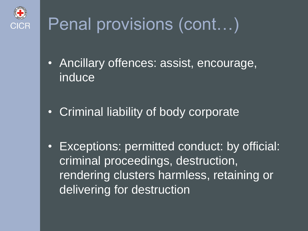

# Penal provisions (cont…)

- Ancillary offences: assist, encourage, induce
- Criminal liability of body corporate
- Exceptions: permitted conduct: by official: criminal proceedings, destruction, rendering clusters harmless, retaining or delivering for destruction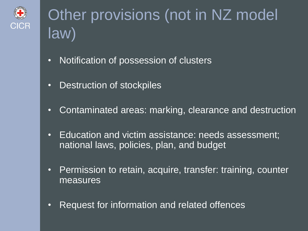

## Other provisions (not in NZ model law)

- Notification of possession of clusters
- Destruction of stockpiles
- Contaminated areas: marking, clearance and destruction
- Education and victim assistance: needs assessment; national laws, policies, plan, and budget
- Permission to retain, acquire, transfer: training, counter measures
- Request for information and related offences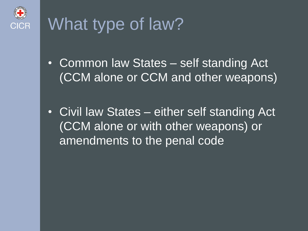

# What type of law?

- Common law States self standing Act (CCM alone or CCM and other weapons)
- Civil law States either self standing Act (CCM alone or with other weapons) or amendments to the penal code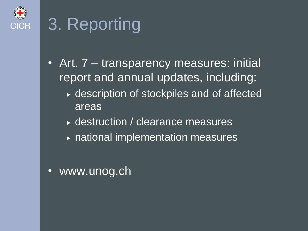

# 3. Reporting

- Art. 7 transparency measures: initial report and annual updates, including:
	- description of stockpiles and of affected areas
	- destruction / clearance measures
	- national implementation measures
- www.unog.ch